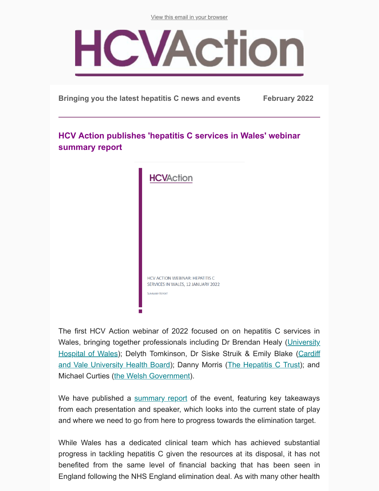[View this email in your browser](https://mailchi.mp/c6fc62c37bd1/hcv-action-e-update-may-14731497?e=283adaad80)



**Bringing you the latest hepatitis C news and events February 2022**

## **HCV Action publishes 'hepatitis C services in Wales' webinar summary report**

| <b>HCVAction</b>                                                                               |
|------------------------------------------------------------------------------------------------|
|                                                                                                |
|                                                                                                |
|                                                                                                |
| HCV ACTION WEBINAR: HEPATITIS C<br>SERVICES IN WALES, 12 JANUARY 2022<br><b>SUMMARY REPORT</b> |
|                                                                                                |

The first HCV Action webinar of 2022 focused on on hepatitis C services in [Wales, bringing together professionals including Dr Brendan Healy \(University](https://cavuhb.nhs.wales/hospitals-and-health-centres/our-hospitals/uhw/) Hospital of Wales); Delyth Tomkinson, Dr Siske Struik & Emily Blake (Cardiff [and Vale University Health Board\); Danny Morris \(The Hepatitis C Trust\); and](https://cavuhb.nhs.wales/) Michael Curties [\(the Welsh Government](https://gov.wales/substance-misuse-delivery-plan-2019-2022-0)).

We have published a [summary report](http://www.hcvaction.org.uk/resource/webinar-summary-hepatitis-c-services-wales-january-2022) of the event, featuring key takeaways from each presentation and speaker, which looks into the current state of play and where we need to go from here to progress towards the elimination target.

While Wales has a dedicated clinical team which has achieved substantial progress in tackling hepatitis C given the resources at its disposal, it has not benefited from the same level of financial backing that has been seen in England following the NHS England elimination deal. As with many other health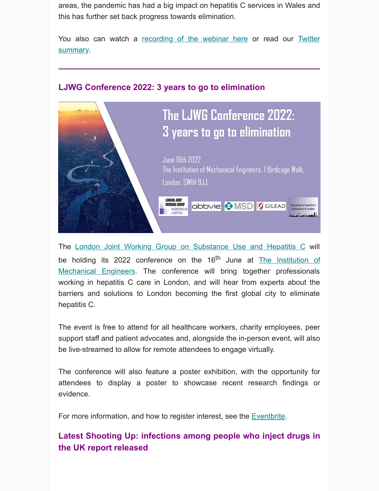areas, the pandemic has had a big impact on hepatitis C services in Wales and this has further set back progress towards elimination.

[You also can watch a recording of the webinar here](https://twitter.com/HCVAction/status/1483454885253234690) or read our Twitter summary.



## **LJWG Conference 2022: 3 years to go to elimination**

The [London Joint Working Group on Substance Use and Hepatitis C](http://ljwg.org.uk/) will be holding its 2022 conference on the  $16<sup>th</sup>$  June at The Institution of Mechanical Engineers. The conference will bring together professionals working in hepatitis C care in London, and will hear from experts about the barriers and solutions to London becoming the first global city to eliminate hepatitis C.

The event is free to attend for all healthcare workers, charity employees, peer support staff and patient advocates and, alongside the in-person event, will also be live-streamed to allow for remote attendees to engage virtually.

The conference will also feature a poster exhibition, with the opportunity for attendees to display a poster to showcase recent research findings or evidence.

For more information, and how to register interest, see the **[Eventbrite](https://www.eventbrite.co.uk/e/the-ljwg-conference-2022-3-years-to-go-to-elimination-tickets-227539947107)**.

**Latest Shooting Up: infections among people who inject drugs in the UK report released**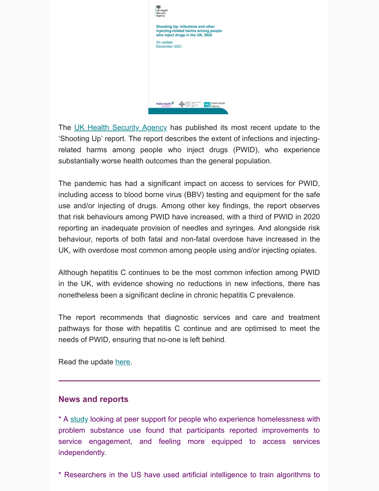| Shooting Up: infections and other<br>injecting-related harms among people<br>who inject drugs in the UK, 2020 |               |  |
|---------------------------------------------------------------------------------------------------------------|---------------|--|
| An update<br>December 2021                                                                                    |               |  |
|                                                                                                               |               |  |
|                                                                                                               |               |  |
|                                                                                                               |               |  |
|                                                                                                               |               |  |
|                                                                                                               | <b>Haulth</b> |  |

The [UK Health Security Agency](https://www.gov.uk/government/organisations/uk-health-security-agency) has published its most recent update to the 'Shooting Up' report. The report describes the extent of infections and injectingrelated harms among people who inject drugs (PWID), who experience substantially worse health outcomes than the general population.

The pandemic has had a significant impact on access to services for PWID, including access to blood borne virus (BBV) testing and equipment for the safe use and/or injecting of drugs. Among other key findings, the report observes that risk behaviours among PWID have increased, with a third of PWID in 2020 reporting an inadequate provision of needles and syringes. And alongside risk behaviour, reports of both fatal and non-fatal overdose have increased in the UK, with overdose most common among people using and/or injecting opiates.

Although hepatitis C continues to be the most common infection among PWID in the UK, with evidence showing no reductions in new infections, there has nonetheless been a significant decline in chronic hepatitis C prevalence.

The report recommends that diagnostic services and care and treatment pathways for those with hepatitis C continue and are optimised to meet the needs of PWID, ensuring that no-one is left behind.

Read the update [here.](http://www.hcvaction.org.uk/resource/shooting-infections-among-people-who-inject-drugs-uk)

## **News and reports**

\* A [study](https://t.co/bAao0uh3bd) looking at peer support for people who experience homelessness with problem substance use found that participants reported improvements to service engagement, and feeling more equipped to access services independently.

\* Researchers in the US have used artificial intelligence to train algorithms to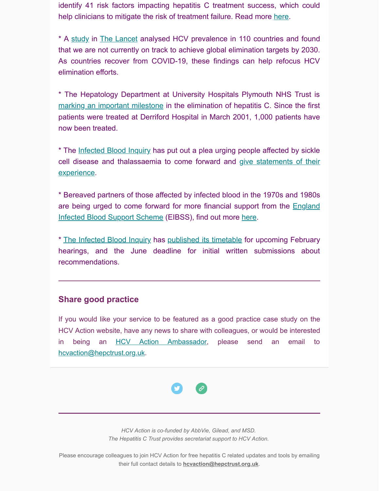identify 41 risk factors impacting hepatitis C treatment success, which could help clinicians to mitigate the risk of treatment failure. Read more [here](https://t.co/Q9DoXbsIoO).

\* A [study](https://t.co/My0Wpnw5cj) in [The Lancet](https://www.thelancet.com/) analysed HCV prevalence in 110 countries and found that we are not currently on track to achieve global elimination targets by 2030. As countries recover from COVID-19, these findings can help refocus HCV elimination efforts.

\* The Hepatology Department at University Hospitals Plymouth NHS Trust is [marking an important milestone](https://www.plymouthherald.co.uk/news/plymouth-news/derriford-hospital-treats-1000-hepatitis-6659222) in the elimination of hepatitis C. Since the first patients were treated at Derriford Hospital in March 2001, 1,000 patients have now been treated.

\* The [Infected Blood Inquiry](https://www.infectedbloodinquiry.org.uk/) has put out a plea urging people affected by sickle [cell disease and thalassaemia to come forward and give statements of their](https://www.infectedbloodinquiry.org.uk/how-take-part-inquiry) experience.

\* Bereaved partners of those affected by infected blood in the 1970s and 1980s are being urged to come forward for more financial support from the **England** Infected Blood Support Scheme (EIBSS), find out more [here.](https://t.co/MAe7WLuwh6)

\* [The Infected Blood](https://www.infectedbloodinquiry.org.uk/) Inquiry has [published its timetable](https://t.co/jQdYTHH8ZQ) for upcoming February hearings, and the June deadline for initial written submissions about recommendations.

## **Share good practice**

If you would like your service to be featured as a good practice case study on the HCV Action website, have any news to share with colleagues, or would be interested in being an [HCV Action Ambassador](http://hcvaction.org.uk/hcv-action-ambassador-network), please send an email to [hcvaction@hepctrust.org.uk](mailto:hcvaction@hepctrust.org.uk).



*HCV Action is co-funded by AbbVie, Gilead, and MSD. The Hepatitis C Trust provides secretariat support to HCV Action.*

Please encourage colleagues to join HCV Action for free hepatitis C related updates and tools by emailing their full contact details to **[hcvaction@hepctrust.org.uk](mailto:hcvaction@hepctrust.org.uk)**.